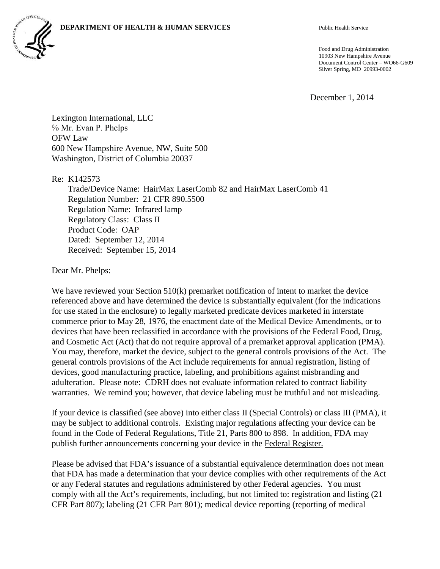

Food and Drug Administration 10903 New Hampshire Avenue Document Control Center – WO66-G609 Silver Spring, MD 20993-0002

December 1, 2014

Lexington International, LLC % Mr. Evan P. Phelps OFW Law 600 New Hampshire Avenue, NW, Suite 500 Washington, District of Columbia 20037

Re: K142573

Trade/Device Name: HairMax LaserComb 82 and HairMax LaserComb 41 Regulation Number: 21 CFR 890.5500 Regulation Name: Infrared lamp Regulatory Class: Class II Product Code: OAP Dated: September 12, 2014 Received: September 15, 2014

Dear Mr. Phelps:

We have reviewed your Section 510(k) premarket notification of intent to market the device referenced above and have determined the device is substantially equivalent (for the indications for use stated in the enclosure) to legally marketed predicate devices marketed in interstate commerce prior to May 28, 1976, the enactment date of the Medical Device Amendments, or to devices that have been reclassified in accordance with the provisions of the Federal Food, Drug, and Cosmetic Act (Act) that do not require approval of a premarket approval application (PMA). You may, therefore, market the device, subject to the general controls provisions of the Act. The general controls provisions of the Act include requirements for annual registration, listing of devices, good manufacturing practice, labeling, and prohibitions against misbranding and adulteration. Please note: CDRH does not evaluate information related to contract liability warranties. We remind you; however, that device labeling must be truthful and not misleading.

If your device is classified (see above) into either class II (Special Controls) or class III (PMA), it may be subject to additional controls. Existing major regulations affecting your device can be found in the Code of Federal Regulations, Title 21, Parts 800 to 898. In addition, FDA may publish further announcements concerning your device in the Federal Register.

Please be advised that FDA's issuance of a substantial equivalence determination does not mean that FDA has made a determination that your device complies with other requirements of the Act or any Federal statutes and regulations administered by other Federal agencies. You must comply with all the Act's requirements, including, but not limited to: registration and listing (21 CFR Part 807); labeling (21 CFR Part 801); medical device reporting (reporting of medical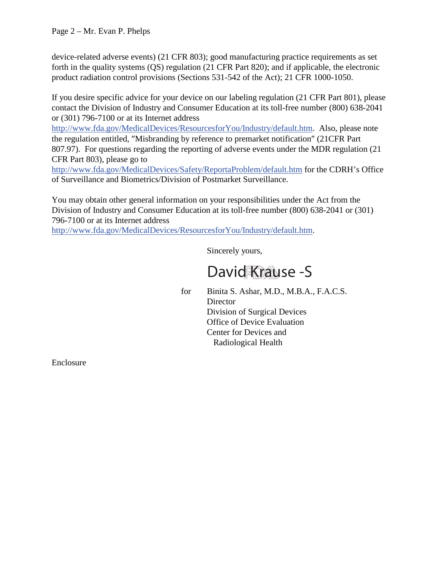device-related adverse events) (21 CFR 803); good manufacturing practice requirements as set forth in the quality systems (QS) regulation (21 CFR Part 820); and if applicable, the electronic product radiation control provisions (Sections 531-542 of the Act); 21 CFR 1000-1050.

If you desire specific advice for your device on our labeling regulation (21 CFR Part 801), please contact the Division of Industry and Consumer Education at its toll-free number (800) 638-2041 or (301) 796-7100 or at its Internet address

http://www.fda.gov/MedicalDevices/ResourcesforYou/Industry/default.htm. Also, please note the regulation entitled, "Misbranding by reference to premarket notification" (21CFR Part 807.97). For questions regarding the reporting of adverse events under the MDR regulation (21 CFR Part 803), please go to

http://www.fda.gov/MedicalDevices/Safety/ReportaProblem/default.htm for the CDRH's Office of Surveillance and Biometrics/Division of Postmarket Surveillance.

You may obtain other general information on your responsibilities under the Act from the Division of Industry and Consumer Education at its toll-free number (800) 638-2041 or (301) 796-7100 or at its Internet address

http://www.fda.gov/MedicalDevices/ResourcesforYou/Industry/default.htm.

Sincerely yours,

# David Krause -S

for Binita S. Ashar, M.D., M.B.A., F.A.C.S. **Director** Division of Surgical Devices Office of Device Evaluation Center for Devices and Radiological Health

Enclosure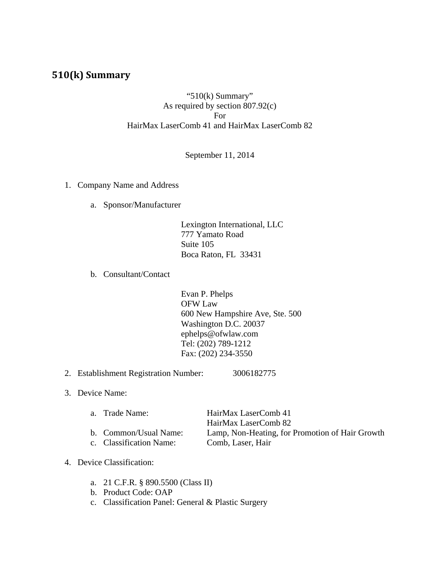# **510(k) Summary**

## "510(k) Summary" As required by section 807.92(c) For HairMax LaserComb 41 and HairMax LaserComb 82

## September 11, 2014

- 1. Company Name and Address
	- a. Sponsor/Manufacturer

 Lexington International, LLC 777 Yamato Road Suite 105 Boca Raton, FL 33431

b. Consultant/Contact

Evan P. Phelps OFW Law 600 New Hampshire Ave, Ste. 500 Washington D.C. 20037 ephelps@ofwlaw.com Tel: (202) 789-1212 Fax: (202) 234-3550

- 2. Establishment Registration Number: 3006182775
- 3. Device Name:

| a. Trade Name:          | HairMax LaserComb 41                            |
|-------------------------|-------------------------------------------------|
|                         | HairMax LaserComb 82                            |
| b. Common/Usual Name:   | Lamp, Non-Heating, for Promotion of Hair Growth |
| c. Classification Name: | Comb, Laser, Hair                               |

## 4. Device Classification:

- a. 21 C.F.R. § 890.5500 (Class II)
- b. Product Code: OAP
- c. Classification Panel: General & Plastic Surgery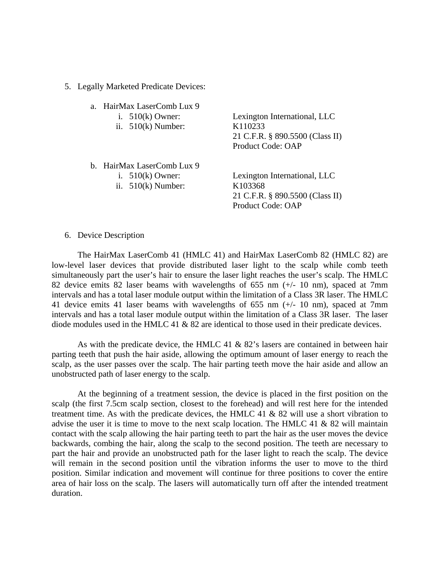## 5. Legally Marketed Predicate Devices:

a. HairMax LaserComb Lux 9 i. 510(k) Owner: Lexington International, LLC ii. 510(k) Number: K110233 21 C.F.R. § 890.5500 (Class II) Product Code: OAP b. HairMax LaserComb Lux 9 i. 510(k) Owner: Lexington International, LLC ii. 510(k) Number: K103368

21 C.F.R. § 890.5500 (Class II) Product Code: OAP

### 6. Device Description

The HairMax LaserComb 41 (HMLC 41) and HairMax LaserComb 82 (HMLC 82) are low-level laser devices that provide distributed laser light to the scalp while comb teeth simultaneously part the user's hair to ensure the laser light reaches the user's scalp. The HMLC 82 device emits 82 laser beams with wavelengths of 655 nm (+/- 10 nm), spaced at 7mm intervals and has a total laser module output within the limitation of a Class 3R laser. The HMLC 41 device emits 41 laser beams with wavelengths of 655 nm (+/- 10 nm), spaced at 7mm intervals and has a total laser module output within the limitation of a Class 3R laser. The laser diode modules used in the HMLC 41 & 82 are identical to those used in their predicate devices.

As with the predicate device, the HMLC 41  $\&$  82's lasers are contained in between hair parting teeth that push the hair aside, allowing the optimum amount of laser energy to reach the scalp, as the user passes over the scalp. The hair parting teeth move the hair aside and allow an unobstructed path of laser energy to the scalp.

At the beginning of a treatment session, the device is placed in the first position on the scalp (the first 7.5cm scalp section, closest to the forehead) and will rest here for the intended treatment time. As with the predicate devices, the HMLC 41  $&$  82 will use a short vibration to advise the user it is time to move to the next scalp location. The HMLC 41 & 82 will maintain contact with the scalp allowing the hair parting teeth to part the hair as the user moves the device backwards, combing the hair, along the scalp to the second position. The teeth are necessary to part the hair and provide an unobstructed path for the laser light to reach the scalp. The device will remain in the second position until the vibration informs the user to move to the third position. Similar indication and movement will continue for three positions to cover the entire area of hair loss on the scalp. The lasers will automatically turn off after the intended treatment duration.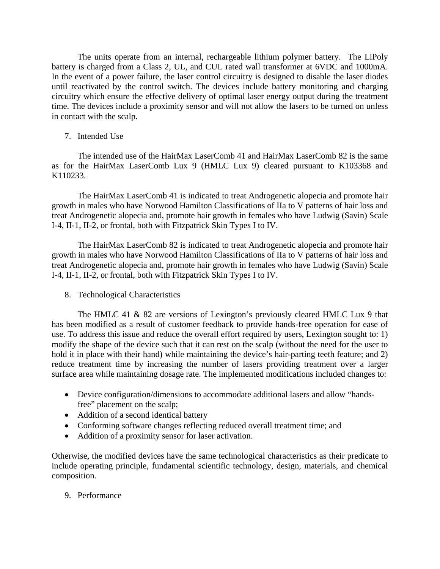The units operate from an internal, rechargeable lithium polymer battery. The LiPoly battery is charged from a Class 2, UL, and CUL rated wall transformer at 6VDC and 1000mA. In the event of a power failure, the laser control circuitry is designed to disable the laser diodes until reactivated by the control switch. The devices include battery monitoring and charging circuitry which ensure the effective delivery of optimal laser energy output during the treatment time. The devices include a proximity sensor and will not allow the lasers to be turned on unless in contact with the scalp.

7. Intended Use

The intended use of the HairMax LaserComb 41 and HairMax LaserComb 82 is the same as for the HairMax LaserComb Lux 9 (HMLC Lux 9) cleared pursuant to K103368 and K110233.

The HairMax LaserComb 41 is indicated to treat Androgenetic alopecia and promote hair growth in males who have Norwood Hamilton Classifications of IIa to V patterns of hair loss and treat Androgenetic alopecia and, promote hair growth in females who have Ludwig (Savin) Scale I-4, II-1, II-2, or frontal, both with Fitzpatrick Skin Types I to IV.

The HairMax LaserComb 82 is indicated to treat Androgenetic alopecia and promote hair growth in males who have Norwood Hamilton Classifications of IIa to V patterns of hair loss and treat Androgenetic alopecia and, promote hair growth in females who have Ludwig (Savin) Scale I-4, II-1, II-2, or frontal, both with Fitzpatrick Skin Types I to IV.

8. Technological Characteristics

The HMLC 41 & 82 are versions of Lexington's previously cleared HMLC Lux 9 that has been modified as a result of customer feedback to provide hands-free operation for ease of use. To address this issue and reduce the overall effort required by users, Lexington sought to: 1) modify the shape of the device such that it can rest on the scalp (without the need for the user to hold it in place with their hand) while maintaining the device's hair-parting teeth feature; and 2) reduce treatment time by increasing the number of lasers providing treatment over a larger surface area while maintaining dosage rate. The implemented modifications included changes to:

- Device configuration/dimensions to accommodate additional lasers and allow "handsfree" placement on the scalp;
- Addition of a second identical battery
- Conforming software changes reflecting reduced overall treatment time; and
- Addition of a proximity sensor for laser activation.

Otherwise, the modified devices have the same technological characteristics as their predicate to include operating principle, fundamental scientific technology, design, materials, and chemical composition.

9. Performance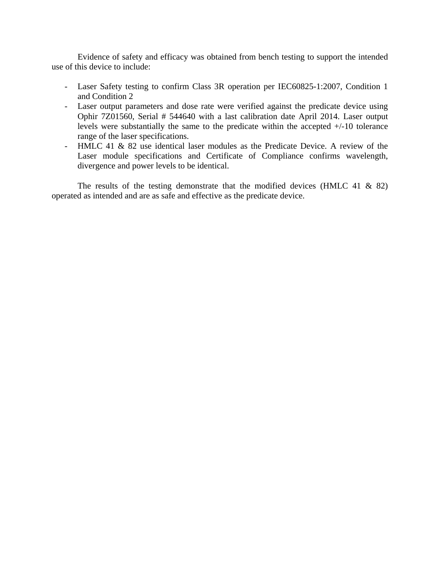Evidence of safety and efficacy was obtained from bench testing to support the intended use of this device to include:

- Laser Safety testing to confirm Class 3R operation per IEC60825-1:2007, Condition 1 and Condition 2
- Laser output parameters and dose rate were verified against the predicate device using Ophir 7Z01560, Serial # 544640 with a last calibration date April 2014. Laser output levels were substantially the same to the predicate within the accepted +/-10 tolerance range of the laser specifications.
- HMLC 41 & 82 use identical laser modules as the Predicate Device. A review of the Laser module specifications and Certificate of Compliance confirms wavelength, divergence and power levels to be identical.

The results of the testing demonstrate that the modified devices (HMLC 41  $\&$  82) operated as intended and are as safe and effective as the predicate device.